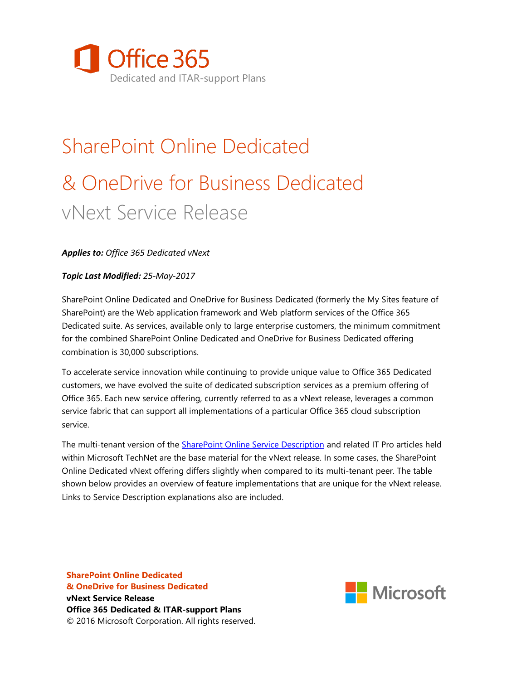

# SharePoint Online Dedicated & OneDrive for Business Dedicated vNext Service Release

#### *Applies to: Office 365 Dedicated vNext*

#### *Topic Last Modified: 25-May-2017*

SharePoint Online Dedicated and OneDrive for Business Dedicated (formerly the My Sites feature of SharePoint) are the Web application framework and Web platform services of the Office 365 Dedicated suite. As services, available only to large enterprise customers, the minimum commitment for the combined SharePoint Online Dedicated and OneDrive for Business Dedicated offering combination is 30,000 subscriptions.

To accelerate service innovation while continuing to provide unique value to Office 365 Dedicated customers, we have evolved the suite of dedicated subscription services as a premium offering of Office 365. Each new service offering, currently referred to as a vNext release, leverages a common service fabric that can support all implementations of a particular Office 365 cloud subscription service.

The multi-tenant version of the [SharePoint Online Service Description](http://technet.microsoft.com/en-us/library/sharepoint-online-service-description.aspx) and related IT Pro articles held within Microsoft TechNet are the base material for the vNext release. In some cases, the SharePoint Online Dedicated vNext offering differs slightly when compared to its multi-tenant peer. The table shown below provides an overview of feature implementations that are unique for the vNext release. Links to Service Description explanations also are included.

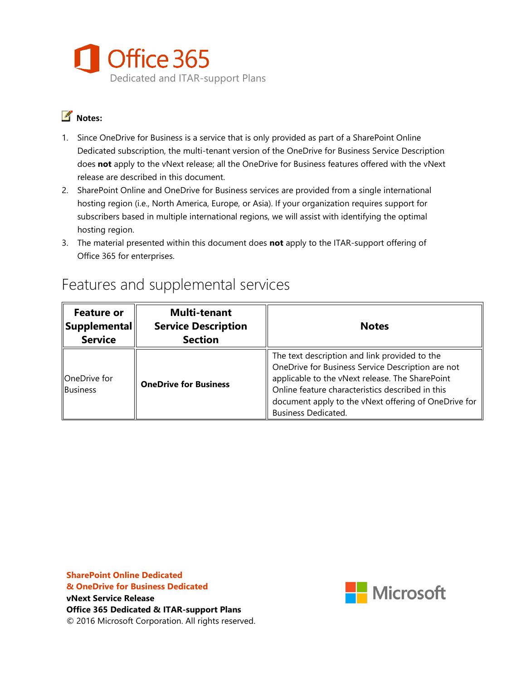

#### **Notes:**

- 1. Since OneDrive for Business is a service that is only provided as part of a SharePoint Online Dedicated subscription, the multi-tenant version of the OneDrive for Business Service Description does **not** apply to the vNext release; all the OneDrive for Business features offered with the vNext release are described in this document.
- 2. SharePoint Online and OneDrive for Business services are provided from a single international hosting region (i.e., North America, Europe, or Asia). If your organization requires support for subscribers based in multiple international regions, we will assist with identifying the optimal hosting region.
- 3. The material presented within this document does **not** apply to the ITAR-support offering of Office 365 for enterprises.

| <b>Feature or</b><br>$ $ Supplemental $\ $<br><b>Service</b> | <b>Multi-tenant</b><br><b>Service Description</b><br><b>Section</b> | <b>Notes</b>                                                                                                                                                                                                                                                                                    |
|--------------------------------------------------------------|---------------------------------------------------------------------|-------------------------------------------------------------------------------------------------------------------------------------------------------------------------------------------------------------------------------------------------------------------------------------------------|
| OneDrive for<br>Business                                     | <b>OneDrive for Business</b>                                        | The text description and link provided to the<br>OneDrive for Business Service Description are not<br>applicable to the vNext release. The SharePoint<br>Online feature characteristics described in this<br>document apply to the vNext offering of OneDrive for<br><b>Business Dedicated.</b> |

### Features and supplemental services

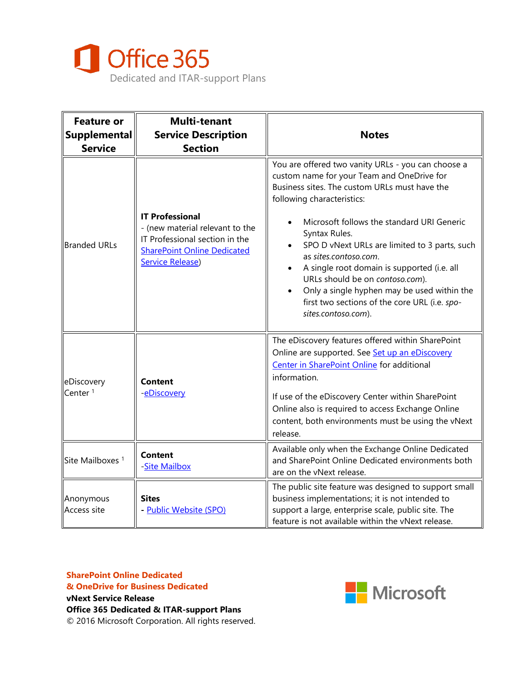

| <b>Feature or</b><br><b>Supplemental</b><br><b>Service</b> | <b>Multi-tenant</b><br><b>Service Description</b><br><b>Section</b>                                                                                          | <b>Notes</b>                                                                                                                                                                                                                                                                                                                                                                                                                                                                                                                                                |
|------------------------------------------------------------|--------------------------------------------------------------------------------------------------------------------------------------------------------------|-------------------------------------------------------------------------------------------------------------------------------------------------------------------------------------------------------------------------------------------------------------------------------------------------------------------------------------------------------------------------------------------------------------------------------------------------------------------------------------------------------------------------------------------------------------|
| <b>Branded URLs</b>                                        | <b>IT Professional</b><br>- (new material relevant to the<br>IT Professional section in the<br><b>SharePoint Online Dedicated</b><br><b>Service Release)</b> | You are offered two vanity URLs - you can choose a<br>custom name for your Team and OneDrive for<br>Business sites. The custom URLs must have the<br>following characteristics:<br>Microsoft follows the standard URI Generic<br>Syntax Rules.<br>SPO D vNext URLs are limited to 3 parts, such<br>as sites.contoso.com.<br>A single root domain is supported (i.e. all<br>$\bullet$<br>URLs should be on contoso.com).<br>Only a single hyphen may be used within the<br>$\bullet$<br>first two sections of the core URL (i.e. spo-<br>sites.contoso.com). |
| eDiscovery<br>Center <sup>1</sup>                          | <b>Content</b><br>-eDiscovery                                                                                                                                | The eDiscovery features offered within SharePoint<br>Online are supported. See Set up an eDiscovery<br>Center in SharePoint Online for additional<br>information.<br>If use of the eDiscovery Center within SharePoint<br>Online also is required to access Exchange Online<br>content, both environments must be using the vNext<br>release.                                                                                                                                                                                                               |
| Site Mailboxes <sup>1</sup>                                | <b>Content</b><br>-Site Mailbox                                                                                                                              | Available only when the Exchange Online Dedicated<br>and SharePoint Online Dedicated environments both<br>are on the vNext release.                                                                                                                                                                                                                                                                                                                                                                                                                         |
| Anonymous<br><b>Access site</b>                            | <b>Sites</b><br>- Public Website (SPO)                                                                                                                       | The public site feature was designed to support small<br>business implementations; it is not intended to<br>support a large, enterprise scale, public site. The<br>feature is not available within the vNext release.                                                                                                                                                                                                                                                                                                                                       |

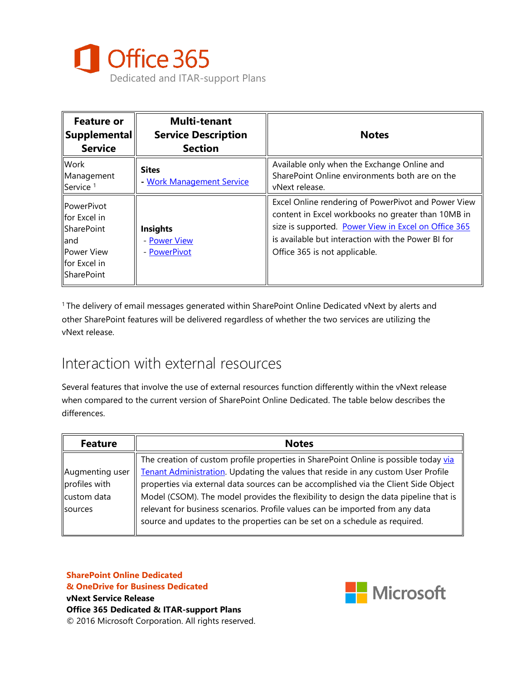

| <b>Feature or</b><br>$ \mathsf{Supplemental} $<br><b>Service</b>                                                                      | <b>Multi-tenant</b><br><b>Service Description</b><br><b>Section</b> | <b>Notes</b>                                                                                                                                                                                                                                             |
|---------------------------------------------------------------------------------------------------------------------------------------|---------------------------------------------------------------------|----------------------------------------------------------------------------------------------------------------------------------------------------------------------------------------------------------------------------------------------------------|
| <b>Work</b><br>Management<br>Service <sup>1</sup>                                                                                     | <b>Sites</b><br>- Work Management Service                           | Available only when the Exchange Online and<br>SharePoint Online environments both are on the<br>vNext release.                                                                                                                                          |
| <b>IPowerPivot</b><br><b>Ifor Excel in</b><br><b>ISharePoint</b><br>lland<br><b>IPower View</b><br>for Excel in<br><b>ISharePoint</b> | <b>Insights</b><br>- Power View<br>- PowerPivot                     | Excel Online rendering of PowerPivot and Power View<br>content in Excel workbooks no greater than 10MB in<br>size is supported. Power View in Excel on Office 365<br>is available but interaction with the Power BI for<br>Office 365 is not applicable. |

<sup>1</sup> The delivery of email messages generated within SharePoint Online Dedicated vNext by alerts and other SharePoint features will be delivered regardless of whether the two services are utilizing the vNext release.

### Interaction with external resources

Several features that involve the use of external resources function differently within the vNext release when compared to the current version of SharePoint Online Dedicated. The table below describes the differences.

| <b>Feature</b>  | <b>Notes</b>                                                                         |
|-----------------|--------------------------------------------------------------------------------------|
|                 | The creation of custom profile properties in SharePoint Online is possible today via |
| Augmenting user | Tenant Administration. Updating the values that reside in any custom User Profile    |
| profiles with   | properties via external data sources can be accomplished via the Client Side Object  |
| custom data     | Model (CSOM). The model provides the flexibility to design the data pipeline that is |
| <b>Sources</b>  | relevant for business scenarios. Profile values can be imported from any data        |
|                 | source and updates to the properties can be set on a schedule as required.           |

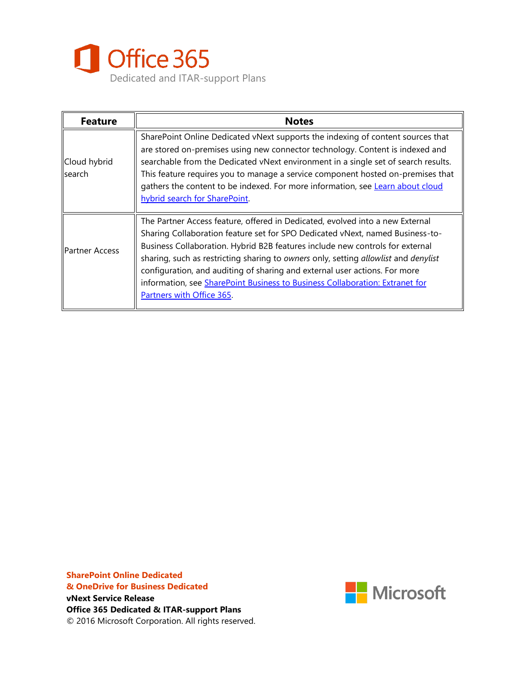

| <b>Feature</b>                  | <b>Notes</b>                                                                                                                                                                                                                                                                                                                                                                                                                                                                                                                      |  |
|---------------------------------|-----------------------------------------------------------------------------------------------------------------------------------------------------------------------------------------------------------------------------------------------------------------------------------------------------------------------------------------------------------------------------------------------------------------------------------------------------------------------------------------------------------------------------------|--|
| Cloud hybrid<br><b>I</b> search | SharePoint Online Dedicated vNext supports the indexing of content sources that<br>are stored on-premises using new connector technology. Content is indexed and<br>searchable from the Dedicated vNext environment in a single set of search results.<br>This feature requires you to manage a service component hosted on-premises that<br>gathers the content to be indexed. For more information, see Learn about cloud<br>hybrid search for SharePoint.                                                                      |  |
| <b>Partner Access</b>           | The Partner Access feature, offered in Dedicated, evolved into a new External<br>Sharing Collaboration feature set for SPO Dedicated vNext, named Business-to-<br>Business Collaboration. Hybrid B2B features include new controls for external<br>sharing, such as restricting sharing to owners only, setting allowlist and denylist<br>configuration, and auditing of sharing and external user actions. For more<br>information, see SharePoint Business to Business Collaboration: Extranet for<br>Partners with Office 365. |  |